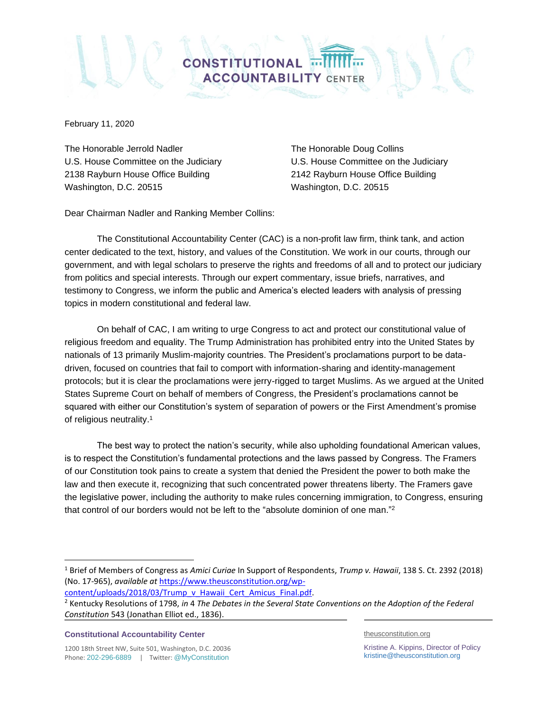

February 11, 2020

The Honorable Jerrold Nadler The Honorable Doug Collins U.S. House Committee on the Judiciary U.S. House Committee on the Judiciary 2138 Rayburn House Office Building 2142 Rayburn House Office Building Washington, D.C. 20515 Washington, D.C. 20515

Dear Chairman Nadler and Ranking Member Collins:

The Constitutional Accountability Center (CAC) is a non-profit law firm, think tank, and action center dedicated to the text, history, and values of the Constitution. We work in our courts, through our government, and with legal scholars to preserve the rights and freedoms of all and to protect our judiciary from politics and special interests. Through our expert commentary, issue briefs, narratives, and testimony to Congress, we inform the public and America's elected leaders with analysis of pressing topics in modern constitutional and federal law.

On behalf of CAC, I am writing to urge Congress to act and protect our constitutional value of religious freedom and equality. The Trump Administration has prohibited entry into the United States by nationals of 13 primarily Muslim-majority countries. The President's proclamations purport to be datadriven, focused on countries that fail to comport with information-sharing and identity-management protocols; but it is clear the proclamations were jerry-rigged to target Muslims. As we argued at the United States Supreme Court on behalf of members of Congress, the President's proclamations cannot be squared with either our Constitution's system of separation of powers or the First Amendment's promise of religious neutrality. 1

The best way to protect the nation's security, while also upholding foundational American values, is to respect the Constitution's fundamental protections and the laws passed by Congress. The Framers of our Constitution took pains to create a system that denied the President the power to both make the law and then execute it, recognizing that such concentrated power threatens liberty. The Framers gave the legislative power, including the authority to make rules concerning immigration, to Congress, ensuring that control of our borders would not be left to the "absolute dominion of one man." 2

**Constitutional Accountability Center**

theusconstitution.org

Kristine A. Kippins, Director of Policy kristine@theusconstitution.org

<sup>1</sup> Brief of Members of Congress as *Amici Curiae* In Support of Respondents, *Trump v. Hawaii*, 138 S. Ct. 2392 (2018) (No. 17-965), *available at* [https://www.theusconstitution.org/wp-](https://www.theusconstitution.org/wp-content/uploads/2018/03/Trump_v_Hawaii_Cert_Amicus_Final.pdf)

[content/uploads/2018/03/Trump\\_v\\_Hawaii\\_Cert\\_Amicus\\_Final.pdf.](https://www.theusconstitution.org/wp-content/uploads/2018/03/Trump_v_Hawaii_Cert_Amicus_Final.pdf)

<sup>2</sup> Kentucky Resolutions of 1798, *in* 4 *The Debates in the Several State Conventions on the Adoption of the Federal Constitution* 543 (Jonathan Elliot ed., 1836).